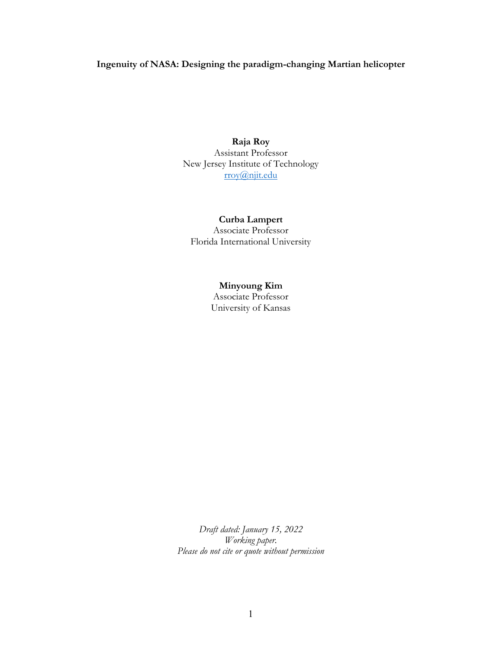# **Ingenuity of NASA: Designing the paradigm-changing Martian helicopter**

**Raja Roy** Assistant Professor New Jersey Institute of Technology rroy@njit.edu

## **Curba Lampert**

Associate Professor Florida International University

## **Minyoung Kim**

Associate Professor University of Kansas

*Draft dated: January 15, 2022 Working paper. Please do not cite or quote without permission*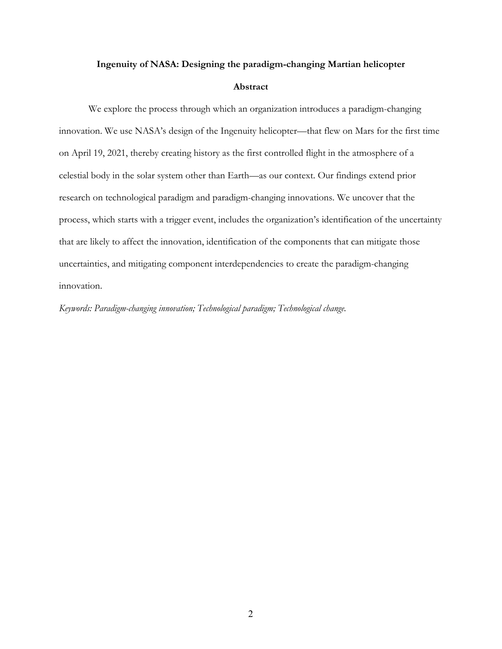# **Ingenuity of NASA: Designing the paradigm-changing Martian helicopter Abstract**

We explore the process through which an organization introduces a paradigm-changing innovation. We use NASA's design of the Ingenuity helicopter—that flew on Mars for the first time on April 19, 2021, thereby creating history as the first controlled flight in the atmosphere of a celestial body in the solar system other than Earth—as our context. Our findings extend prior research on technological paradigm and paradigm-changing innovations. We uncover that the process, which starts with a trigger event, includes the organization's identification of the uncertainty that are likely to affect the innovation, identification of the components that can mitigate those uncertainties, and mitigating component interdependencies to create the paradigm-changing innovation.

*Keywords: Paradigm-changing innovation; Technological paradigm; Technological change.*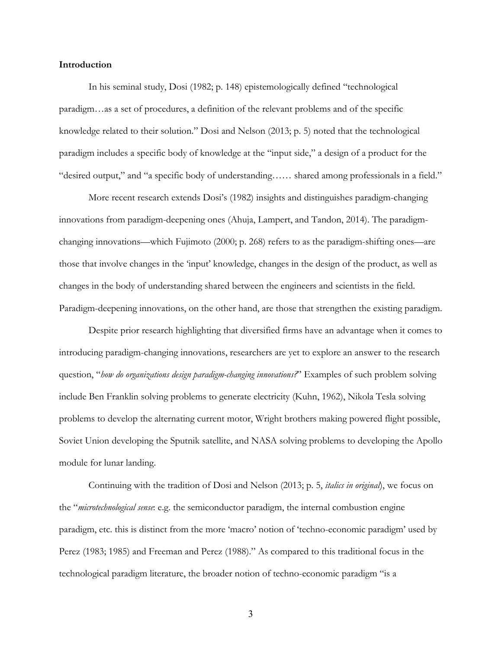#### **Introduction**

In his seminal study, Dosi (1982; p. 148) epistemologically defined "technological paradigm…as a set of procedures, a definition of the relevant problems and of the specific knowledge related to their solution." Dosi and Nelson (2013; p. 5) noted that the technological paradigm includes a specific body of knowledge at the "input side," a design of a product for the "desired output," and "a specific body of understanding…… shared among professionals in a field."

More recent research extends Dosi's (1982) insights and distinguishes paradigm-changing innovations from paradigm-deepening ones (Ahuja, Lampert, and Tandon, 2014). The paradigmchanging innovations—which Fujimoto (2000; p. 268) refers to as the paradigm-shifting ones—are those that involve changes in the 'input' knowledge, changes in the design of the product, as well as changes in the body of understanding shared between the engineers and scientists in the field. Paradigm-deepening innovations, on the other hand, are those that strengthen the existing paradigm.

Despite prior research highlighting that diversified firms have an advantage when it comes to introducing paradigm-changing innovations, researchers are yet to explore an answer to the research question, "*how do organizations design paradigm-changing innovations?*" Examples of such problem solving include Ben Franklin solving problems to generate electricity (Kuhn, 1962), Nikola Tesla solving problems to develop the alternating current motor, Wright brothers making powered flight possible, Soviet Union developing the Sputnik satellite, and NASA solving problems to developing the Apollo module for lunar landing.

Continuing with the tradition of Dosi and Nelson (2013; p. 5, *italics in original*), we focus on the "*microtechnological sense*: e.g. the semiconductor paradigm, the internal combustion engine paradigm, etc. this is distinct from the more 'macro' notion of 'techno-economic paradigm' used by Perez (1983; 1985) and Freeman and Perez (1988)." As compared to this traditional focus in the technological paradigm literature, the broader notion of techno-economic paradigm "is a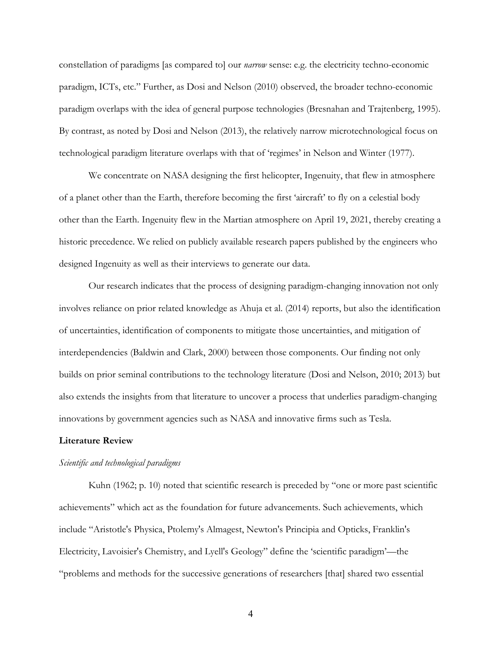constellation of paradigms [as compared to] our *narrow* sense: e.g. the electricity techno-economic paradigm, ICTs, etc." Further, as Dosi and Nelson (2010) observed, the broader techno-economic paradigm overlaps with the idea of general purpose technologies (Bresnahan and Trajtenberg, 1995). By contrast, as noted by Dosi and Nelson (2013), the relatively narrow microtechnological focus on technological paradigm literature overlaps with that of 'regimes' in Nelson and Winter (1977).

We concentrate on NASA designing the first helicopter, Ingenuity, that flew in atmosphere of a planet other than the Earth, therefore becoming the first 'aircraft' to fly on a celestial body other than the Earth. Ingenuity flew in the Martian atmosphere on April 19, 2021, thereby creating a historic precedence. We relied on publicly available research papers published by the engineers who designed Ingenuity as well as their interviews to generate our data.

Our research indicates that the process of designing paradigm-changing innovation not only involves reliance on prior related knowledge as Ahuja et al. (2014) reports, but also the identification of uncertainties, identification of components to mitigate those uncertainties, and mitigation of interdependencies (Baldwin and Clark, 2000) between those components. Our finding not only builds on prior seminal contributions to the technology literature (Dosi and Nelson, 2010; 2013) but also extends the insights from that literature to uncover a process that underlies paradigm-changing innovations by government agencies such as NASA and innovative firms such as Tesla.

#### **Literature Review**

#### *Scientific and technological paradigms*

Kuhn (1962; p. 10) noted that scientific research is preceded by "one or more past scientific achievements" which act as the foundation for future advancements. Such achievements, which include "Aristotle's Physica, Ptolemy's Almagest, Newton's Principia and Opticks, Franklin's Electricity, Lavoisier's Chemistry, and Lyell's Geology" define the 'scientific paradigm'—the "problems and methods for the successive generations of researchers [that] shared two essential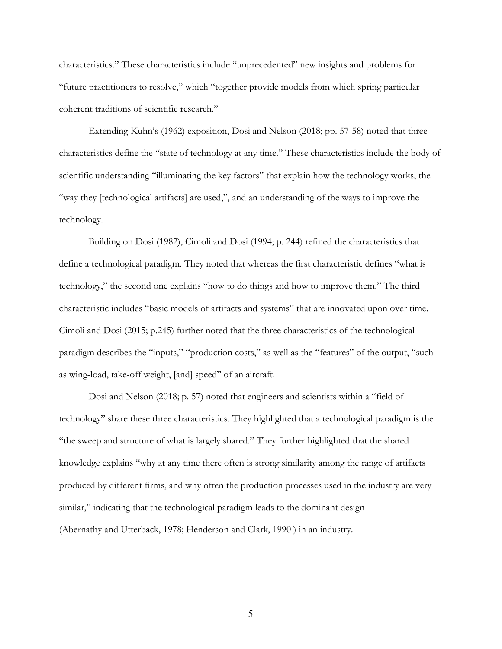characteristics." These characteristics include "unprecedented" new insights and problems for "future practitioners to resolve," which "together provide models from which spring particular coherent traditions of scientific research."

Extending Kuhn's (1962) exposition, Dosi and Nelson (2018; pp. 57-58) noted that three characteristics define the "state of technology at any time." These characteristics include the body of scientific understanding "illuminating the key factors" that explain how the technology works, the "way they [technological artifacts] are used,", and an understanding of the ways to improve the technology.

Building on Dosi (1982), Cimoli and Dosi (1994; p. 244) refined the characteristics that define a technological paradigm. They noted that whereas the first characteristic defines "what is technology," the second one explains "how to do things and how to improve them." The third characteristic includes "basic models of artifacts and systems" that are innovated upon over time. Cimoli and Dosi (2015; p.245) further noted that the three characteristics of the technological paradigm describes the "inputs," "production costs," as well as the "features" of the output, "such as wing-load, take-off weight, [and] speed" of an aircraft.

Dosi and Nelson (2018; p. 57) noted that engineers and scientists within a "field of technology" share these three characteristics. They highlighted that a technological paradigm is the "the sweep and structure of what is largely shared." They further highlighted that the shared knowledge explains "why at any time there often is strong similarity among the range of artifacts produced by different firms, and why often the production processes used in the industry are very similar," indicating that the technological paradigm leads to the dominant design (Abernathy and Utterback, 1978; Henderson and Clark, 1990 ) in an industry.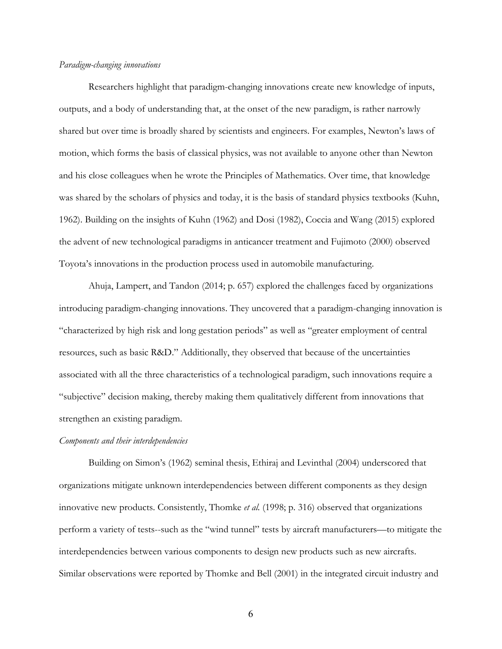## *Paradigm-changing innovations*

Researchers highlight that paradigm-changing innovations create new knowledge of inputs, outputs, and a body of understanding that, at the onset of the new paradigm, is rather narrowly shared but over time is broadly shared by scientists and engineers. For examples, Newton's laws of motion, which forms the basis of classical physics, was not available to anyone other than Newton and his close colleagues when he wrote the Principles of Mathematics. Over time, that knowledge was shared by the scholars of physics and today, it is the basis of standard physics textbooks (Kuhn, 1962). Building on the insights of Kuhn (1962) and Dosi (1982), Coccia and Wang (2015) explored the advent of new technological paradigms in anticancer treatment and Fujimoto (2000) observed Toyota's innovations in the production process used in automobile manufacturing.

Ahuja, Lampert, and Tandon (2014; p. 657) explored the challenges faced by organizations introducing paradigm-changing innovations. They uncovered that a paradigm-changing innovation is "characterized by high risk and long gestation periods" as well as "greater employment of central resources, such as basic R&D." Additionally, they observed that because of the uncertainties associated with all the three characteristics of a technological paradigm, such innovations require a "subjective" decision making, thereby making them qualitatively different from innovations that strengthen an existing paradigm.

#### *Components and their interdependencies*

Building on Simon's (1962) seminal thesis, Ethiraj and Levinthal (2004) underscored that organizations mitigate unknown interdependencies between different components as they design innovative new products. Consistently, Thomke *et al.* (1998; p. 316) observed that organizations perform a variety of tests--such as the "wind tunnel" tests by aircraft manufacturers—to mitigate the interdependencies between various components to design new products such as new aircrafts. Similar observations were reported by Thomke and Bell (2001) in the integrated circuit industry and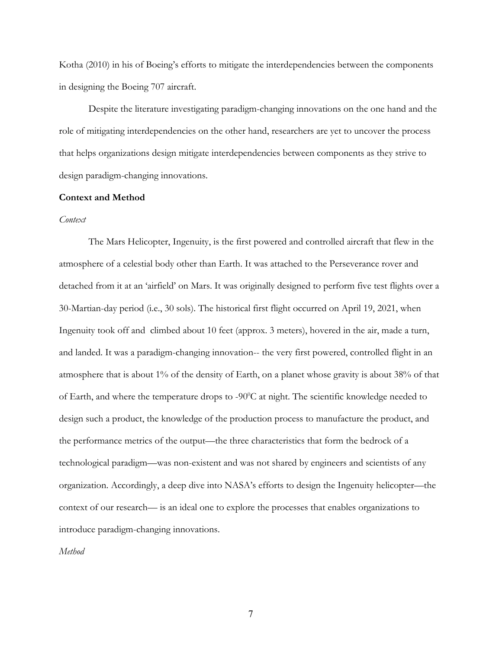Kotha (2010) in his of Boeing's efforts to mitigate the interdependencies between the components in designing the Boeing 707 aircraft.

Despite the literature investigating paradigm-changing innovations on the one hand and the role of mitigating interdependencies on the other hand, researchers are yet to uncover the process that helps organizations design mitigate interdependencies between components as they strive to design paradigm-changing innovations.

#### **Context and Method**

#### *Context*

The Mars Helicopter, Ingenuity, is the first powered and controlled aircraft that flew in the atmosphere of a celestial body other than Earth. It was attached to the Perseverance rover and detached from it at an 'airfield' on Mars. It was originally designed to perform five test flights over a 30-Martian-day period (i.e., 30 sols). The historical first flight occurred on April 19, 2021, when Ingenuity took off and climbed about 10 feet (approx. 3 meters), hovered in the air, made a turn, and landed. It was a paradigm-changing innovation-- the very first powered, controlled flight in an atmosphere that is about 1% of the density of Earth, on a planet whose gravity is about 38% of that of Earth, and where the temperature drops to -90 $\mathrm{^0C}$  at night. The scientific knowledge needed to design such a product, the knowledge of the production process to manufacture the product, and the performance metrics of the output—the three characteristics that form the bedrock of a technological paradigm—was non-existent and was not shared by engineers and scientists of any organization. Accordingly, a deep dive into NASA's efforts to design the Ingenuity helicopter—the context of our research— is an ideal one to explore the processes that enables organizations to introduce paradigm-changing innovations.

#### *Method*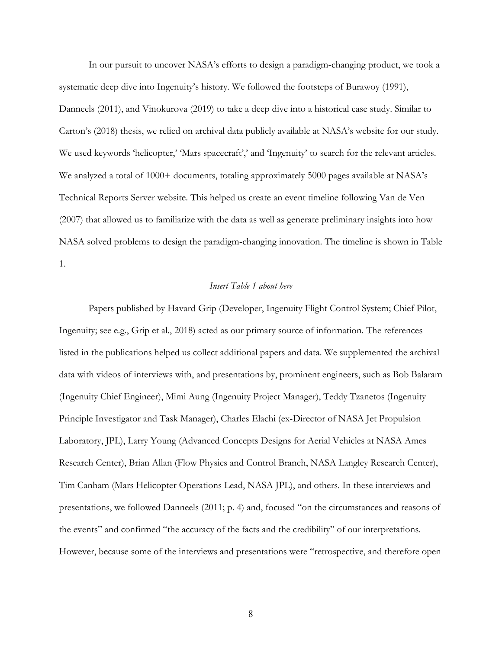In our pursuit to uncover NASA's efforts to design a paradigm-changing product, we took a systematic deep dive into Ingenuity's history. We followed the footsteps of Burawoy (1991), Danneels (2011), and Vinokurova (2019) to take a deep dive into a historical case study. Similar to Carton's (2018) thesis, we relied on archival data publicly available at NASA's website for our study. We used keywords 'helicopter,' 'Mars spacecraft',' and 'Ingenuity' to search for the relevant articles. We analyzed a total of 1000+ documents, totaling approximately 5000 pages available at NASA's Technical Reports Server website. This helped us create an event timeline following Van de Ven (2007) that allowed us to familiarize with the data as well as generate preliminary insights into how NASA solved problems to design the paradigm-changing innovation. The timeline is shown in Table 1.

## *Insert Table 1 about here*

Papers published by Havard Grip (Developer, Ingenuity Flight Control System; Chief Pilot, Ingenuity; see e.g., Grip et al., 2018) acted as our primary source of information. The references listed in the publications helped us collect additional papers and data. We supplemented the archival data with videos of interviews with, and presentations by, prominent engineers, such as Bob Balaram (Ingenuity Chief Engineer), Mimi Aung (Ingenuity Project Manager), Teddy Tzanetos (Ingenuity Principle Investigator and Task Manager), Charles Elachi (ex-Director of NASA Jet Propulsion Laboratory, JPL), Larry Young (Advanced Concepts Designs for Aerial Vehicles at NASA Ames Research Center), Brian Allan (Flow Physics and Control Branch, NASA Langley Research Center), Tim Canham (Mars Helicopter Operations Lead, NASA JPL), and others. In these interviews and presentations, we followed Danneels (2011; p. 4) and, focused "on the circumstances and reasons of the events" and confirmed "the accuracy of the facts and the credibility" of our interpretations. However, because some of the interviews and presentations were "retrospective, and therefore open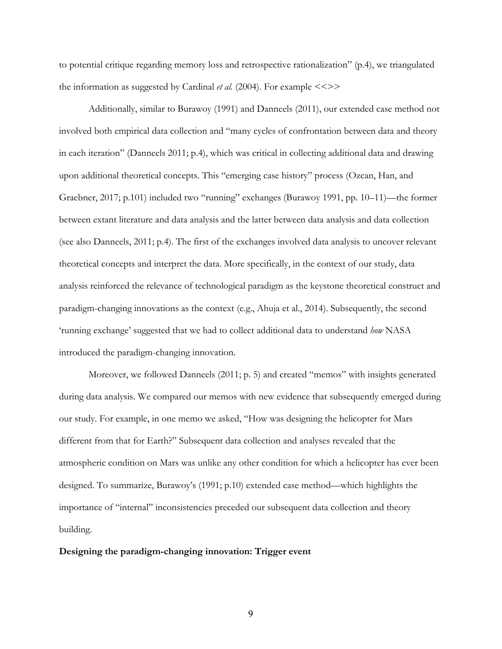to potential critique regarding memory loss and retrospective rationalization" (p.4), we triangulated the information as suggested by Cardinal *et al.* (2004). For example  $\langle \langle \rangle$ 

Additionally, similar to Burawoy (1991) and Danneels (2011), our extended case method not involved both empirical data collection and "many cycles of confrontation between data and theory in each iteration" (Danneels 2011; p.4), which was critical in collecting additional data and drawing upon additional theoretical concepts. This "emerging case history" process (Ozcan, Han, and Graebner, 2017; p.101) included two "running" exchanges (Burawoy 1991, pp. 10–11)—the former between extant literature and data analysis and the latter between data analysis and data collection (see also Danneels, 2011; p.4). The first of the exchanges involved data analysis to uncover relevant theoretical concepts and interpret the data. More specifically, in the context of our study, data analysis reinforced the relevance of technological paradigm as the keystone theoretical construct and paradigm-changing innovations as the context (e.g., Ahuja et al., 2014). Subsequently, the second 'running exchange' suggested that we had to collect additional data to understand *how* NASA introduced the paradigm-changing innovation.

Moreover, we followed Danneels (2011; p. 5) and created "memos" with insights generated during data analysis. We compared our memos with new evidence that subsequently emerged during our study. For example, in one memo we asked, "How was designing the helicopter for Mars different from that for Earth?" Subsequent data collection and analyses revealed that the atmospheric condition on Mars was unlike any other condition for which a helicopter has ever been designed. To summarize, Burawoy's (1991; p.10) extended case method—which highlights the importance of "internal" inconsistencies preceded our subsequent data collection and theory building.

#### **Designing the paradigm-changing innovation: Trigger event**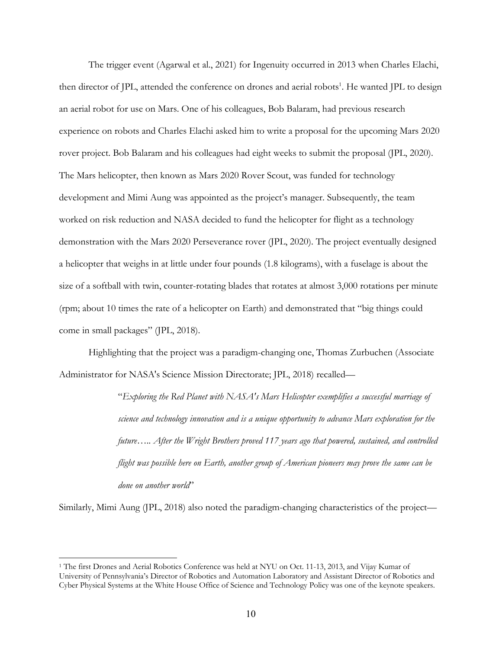The trigger event (Agarwal et al., 2021) for Ingenuity occurred in 2013 when Charles Elachi, then director of JPL, attended the conference on drones and aerial robots<sup>1</sup>. He wanted JPL to design an aerial robot for use on Mars. One of his colleagues, Bob Balaram, had previous research experience on robots and Charles Elachi asked him to write a proposal for the upcoming Mars 2020 rover project. Bob Balaram and his colleagues had eight weeks to submit the proposal (JPL, 2020). The Mars helicopter, then known as Mars 2020 Rover Scout, was funded for technology development and Mimi Aung was appointed as the project's manager. Subsequently, the team worked on risk reduction and NASA decided to fund the helicopter for flight as a technology demonstration with the Mars 2020 Perseverance rover (JPL, 2020). The project eventually designed a helicopter that weighs in at little under four pounds (1.8 kilograms), with a fuselage is about the size of a softball with twin, counter-rotating blades that rotates at almost 3,000 rotations per minute (rpm; about 10 times the rate of a helicopter on Earth) and demonstrated that "big things could come in small packages" (JPL, 2018).

Highlighting that the project was a paradigm-changing one, Thomas Zurbuchen (Associate Administrator for NASA's Science Mission Directorate; JPL, 2018) recalled—

> "*Exploring the Red Planet with NASA's Mars Helicopter exemplifies a successful marriage of science and technology innovation and is a unique opportunity to advance Mars exploration for the future….. After the Wright Brothers proved 117 years ago that powered, sustained, and controlled flight was possible here on Earth, another group of American pioneers may prove the same can be done on another world*"

Similarly, Mimi Aung (JPL, 2018) also noted the paradigm-changing characteristics of the project—

<sup>&</sup>lt;sup>1</sup> The first Drones and Aerial Robotics Conference was held at NYU on Oct. 11-13, 2013, and Vijay Kumar of University of Pennsylvania's Director of Robotics and Automation Laboratory and Assistant Director of Robotics and Cyber Physical Systems at the White House Office of Science and Technology Policy was one of the keynote speakers.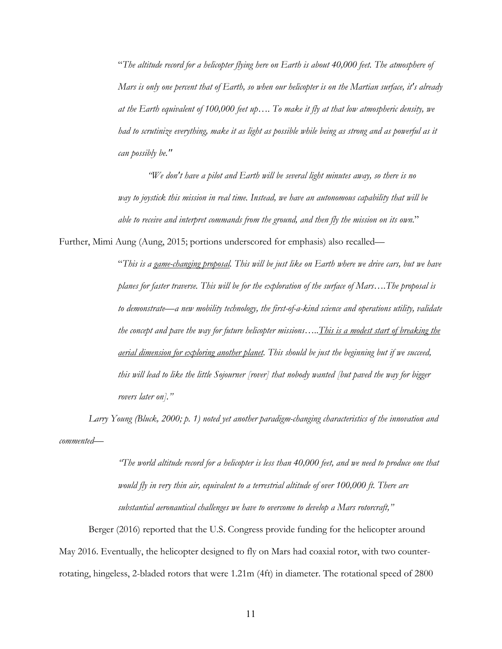"*The altitude record for a helicopter flying here on Earth is about 40,000 feet. The atmosphere of Mars is only one percent that of Earth, so when our helicopter is on the Martian surface, it's already at the Earth equivalent of 100,000 feet up…. To make it fly at that low atmospheric density, we had to scrutinize everything, make it as light as possible while being as strong and as powerful as it can possibly be."*

*"We don't have a pilot and Earth will be several light minutes away, so there is no way to joystick this mission in real time. Instead, we have an autonomous capability that will be able to receive and interpret commands from the ground, and then fly the mission on its own.*"

Further, Mimi Aung (Aung, 2015; portions underscored for emphasis) also recalled—

"*This is a game-changing proposal. This will be just like on Earth where we drive cars, but we have planes for faster traverse. This will be for the exploration of the surface of Mars….The proposal is to demonstrate—a new mobility technology, the first-of-a-kind science and operations utility, validate the concept and pave the way for future helicopter missions…..This is a modest start of breaking the aerial dimension for exploring another planet. This should be just the beginning but if we succeed, this will lead to like the little Sojourner [rover] that nobody wanted [but paved the way for bigger rovers later on]."*

*Larry Young (Bluck, 2000; p. 1) noted yet another paradigm-changing characteristics of the innovation and commented—*

> *"The world altitude record for a helicopter is less than 40,000 feet, and we need to produce one that would fly in very thin air, equivalent to a terrestrial altitude of over 100,000 ft. There are substantial aeronautical challenges we have to overcome to develop a Mars rotorcraft,"*

Berger (2016) reported that the U.S. Congress provide funding for the helicopter around May 2016. Eventually, the helicopter designed to fly on Mars had coaxial rotor, with two counterrotating, hingeless, 2-bladed rotors that were 1.21m (4ft) in diameter. The rotational speed of 2800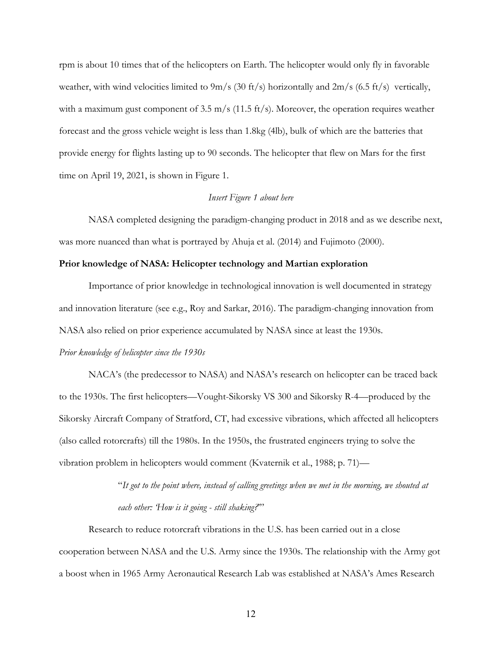rpm is about 10 times that of the helicopters on Earth. The helicopter would only fly in favorable weather, with wind velocities limited to 9m/s (30 ft/s) horizontally and  $2m/s$  (6.5 ft/s) vertically, with a maximum gust component of 3.5 m/s (11.5 ft/s). Moreover, the operation requires weather forecast and the gross vehicle weight is less than 1.8kg (4lb), bulk of which are the batteries that provide energy for flights lasting up to 90 seconds. The helicopter that flew on Mars for the first time on April 19, 2021, is shown in Figure 1.

#### *Insert Figure 1 about here*

NASA completed designing the paradigm-changing product in 2018 and as we describe next, was more nuanced than what is portrayed by Ahuja et al. (2014) and Fujimoto (2000).

#### **Prior knowledge of NASA: Helicopter technology and Martian exploration**

Importance of prior knowledge in technological innovation is well documented in strategy and innovation literature (see e.g., Roy and Sarkar, 2016). The paradigm-changing innovation from NASA also relied on prior experience accumulated by NASA since at least the 1930s.

## *Prior knowledge of helicopter since the 1930s*

NACA's (the predecessor to NASA) and NASA's research on helicopter can be traced back to the 1930s. The first helicopters—Vought-Sikorsky VS 300 and Sikorsky R-4—produced by the Sikorsky Aircraft Company of Stratford, CT, had excessive vibrations, which affected all helicopters (also called rotorcrafts) till the 1980s. In the 1950s, the frustrated engineers trying to solve the vibration problem in helicopters would comment (Kvaternik et al., 1988; p. 71)—

> "*It got to the point where, instead of calling greetings when we met in the morning, we shouted at each other: 'How is it going - still shaking?*'"

Research to reduce rotorcraft vibrations in the U.S. has been carried out in a close cooperation between NASA and the U.S. Army since the 1930s. The relationship with the Army got a boost when in 1965 Army Aeronautical Research Lab was established at NASA's Ames Research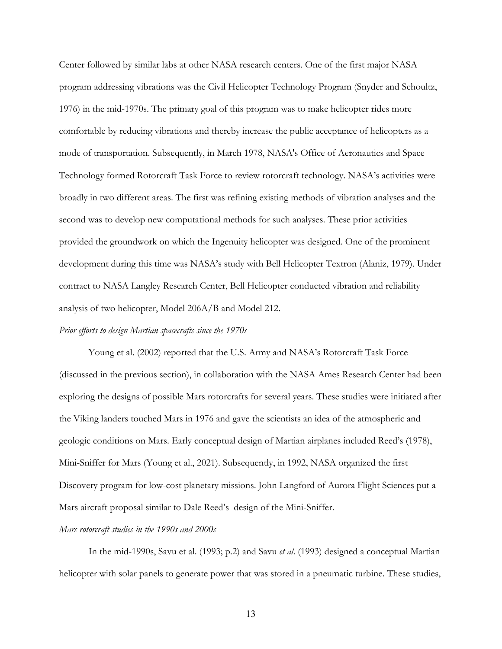Center followed by similar labs at other NASA research centers. One of the first major NASA program addressing vibrations was the Civil Helicopter Technology Program (Snyder and Schoultz, 1976) in the mid-1970s. The primary goal of this program was to make helicopter rides more comfortable by reducing vibrations and thereby increase the public acceptance of helicopters as a mode of transportation. Subsequently, in March 1978, NASA's Office of Aeronautics and Space Technology formed Rotorcraft Task Force to review rotorcraft technology. NASA's activities were broadly in two different areas. The first was refining existing methods of vibration analyses and the second was to develop new computational methods for such analyses. These prior activities provided the groundwork on which the Ingenuity helicopter was designed. One of the prominent development during this time was NASA's study with Bell Helicopter Textron (Alaniz, 1979). Under contract to NASA Langley Research Center, Bell Helicopter conducted vibration and reliability analysis of two helicopter, Model 206A/B and Model 212.

#### *Prior efforts to design Martian spacecrafts since the 1970s*

Young et al. (2002) reported that the U.S. Army and NASA's Rotorcraft Task Force (discussed in the previous section), in collaboration with the NASA Ames Research Center had been exploring the designs of possible Mars rotorcrafts for several years. These studies were initiated after the Viking landers touched Mars in 1976 and gave the scientists an idea of the atmospheric and geologic conditions on Mars. Early conceptual design of Martian airplanes included Reed's (1978), Mini-Sniffer for Mars (Young et al., 2021). Subsequently, in 1992, NASA organized the first Discovery program for low-cost planetary missions. John Langford of Aurora Flight Sciences put a Mars aircraft proposal similar to Dale Reed's design of the Mini-Sniffer.

#### *Mars rotorcraft studies in the 1990s and 2000s*

In the mid-1990s, Savu et al. (1993; p.2) and Savu *et al*. (1993) designed a conceptual Martian helicopter with solar panels to generate power that was stored in a pneumatic turbine. These studies,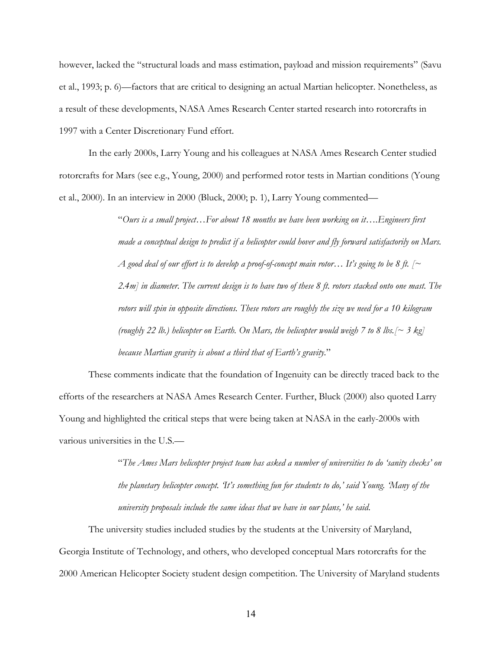however, lacked the "structural loads and mass estimation, payload and mission requirements" (Savu et al., 1993; p. 6)—factors that are critical to designing an actual Martian helicopter. Nonetheless, as a result of these developments, NASA Ames Research Center started research into rotorcrafts in 1997 with a Center Discretionary Fund effort.

In the early 2000s, Larry Young and his colleagues at NASA Ames Research Center studied rotorcrafts for Mars (see e.g., Young, 2000) and performed rotor tests in Martian conditions (Young et al., 2000). In an interview in 2000 (Bluck, 2000; p. 1), Larry Young commented—

> "*Ours is a small project…For about 18 months we have been working on it….Engineers first made a conceptual design to predict if a helicopter could hover and fly forward satisfactorily on Mars. A good deal of our effort is to develop a proof-of-concept main rotor… It's going to be 8 ft. [~ 2.4m] in diameter. The current design is to have two of these 8 ft. rotors stacked onto one mast. The rotors will spin in opposite directions. These rotors are roughly the size we need for a 10 kilogram (roughly 22 lb.) helicopter on Earth. On Mars, the helicopter would weigh 7 to 8 lbs.[~ 3 kg] because Martian gravity is about a third that of Earth's gravity.*"

These comments indicate that the foundation of Ingenuity can be directly traced back to the efforts of the researchers at NASA Ames Research Center. Further, Bluck (2000) also quoted Larry Young and highlighted the critical steps that were being taken at NASA in the early-2000s with various universities in the U.S.—

> "*The Ames Mars helicopter project team has asked a number of universities to do 'sanity checks' on the planetary helicopter concept. 'It's something fun for students to do,' said Young. 'Many of the university proposals include the same ideas that we have in our plans,' he said*.

The university studies included studies by the students at the University of Maryland, Georgia Institute of Technology, and others, who developed conceptual Mars rotorcrafts for the 2000 American Helicopter Society student design competition. The University of Maryland students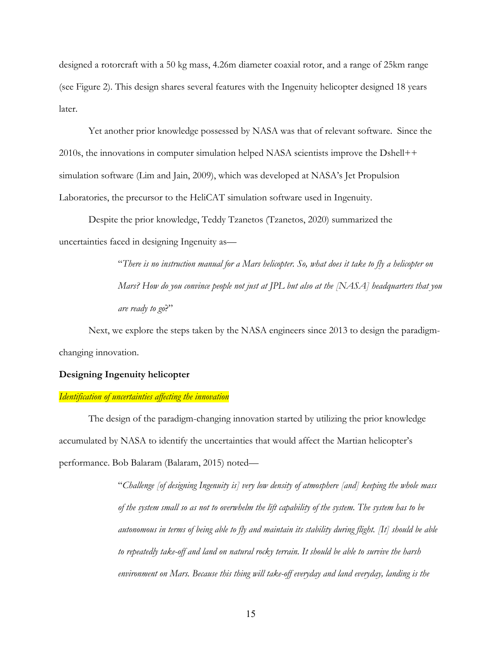designed a rotorcraft with a 50 kg mass, 4.26m diameter coaxial rotor, and a range of 25km range (see Figure 2). This design shares several features with the Ingenuity helicopter designed 18 years later.

Yet another prior knowledge possessed by NASA was that of relevant software. Since the 2010s, the innovations in computer simulation helped NASA scientists improve the Dshell++ simulation software (Lim and Jain, 2009), which was developed at NASA's Jet Propulsion Laboratories, the precursor to the HeliCAT simulation software used in Ingenuity.

Despite the prior knowledge, Teddy Tzanetos (Tzanetos, 2020) summarized the uncertainties faced in designing Ingenuity as—

> "*There is no instruction manual for a Mars helicopter. So, what does it take to fly a helicopter on Mars? How do you convince people not just at JPL but also at the [NASA] headquarters that you are ready to go*?"

Next, we explore the steps taken by the NASA engineers since 2013 to design the paradigmchanging innovation.

#### **Designing Ingenuity helicopter**

#### *Identification of uncertainties affecting the innovation*

The design of the paradigm-changing innovation started by utilizing the prior knowledge accumulated by NASA to identify the uncertainties that would affect the Martian helicopter's performance. Bob Balaram (Balaram, 2015) noted—

> "*Challenge [of designing Ingenuity is] very low density of atmosphere [and] keeping the whole mass of the system small so as not to overwhelm the lift capability of the system. The system has to be autonomous in terms of being able to fly and maintain its stability during flight. [It] should be able to repeatedly take-off and land on natural rocky terrain. It should be able to survive the harsh environment on Mars. Because this thing will take-off everyday and land everyday, landing is the*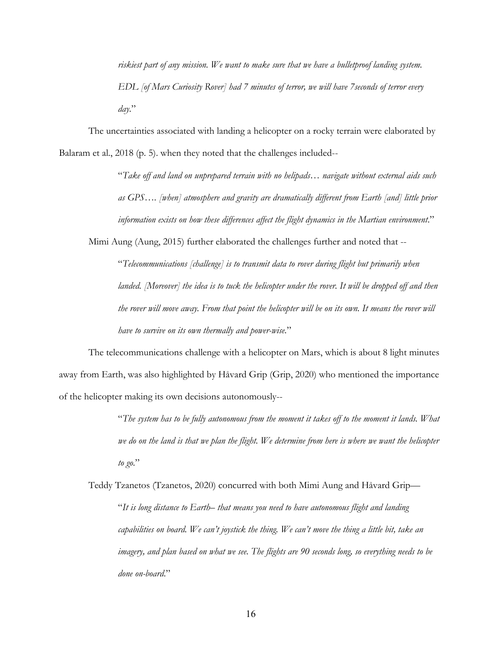*riskiest part of any mission. We want to make sure that we have a bulletproof landing system. EDL [of Mars Curiosity Rover] had 7 minutes of terror, we will have 7seconds of terror every day.*"

The uncertainties associated with landing a helicopter on a rocky terrain were elaborated by Balaram et al., 2018 (p. 5). when they noted that the challenges included--

> "*Take off and land on unprepared terrain with no helipads… navigate without external aids such as GPS…. [when] atmosphere and gravity are dramatically different from Earth [and] little prior information exists on how these differences affect the flight dynamics in the Martian environment*."

Mimi Aung (Aung, 2015) further elaborated the challenges further and noted that --

"*Telecommunications [challenge] is to transmit data to rover during flight but primarily when landed. [Moreover] the idea is to tuck the helicopter under the rover. It will be dropped off and then the rover will move away. From that point the helicopter will be on its own. It means the rover will have to survive on its own thermally and power-wise.*"

The telecommunications challenge with a helicopter on Mars, which is about 8 light minutes away from Earth, was also highlighted by Håvard Grip (Grip, 2020) who mentioned the importance of the helicopter making its own decisions autonomously--

> "*The system has to be fully autonomous from the moment it takes off to the moment it lands. What we do on the land is that we plan the flight. We determine from here is where we want the helicopter to go.*"

Teddy Tzanetos (Tzanetos, 2020) concurred with both Mimi Aung and Håvard Grip— "*It is long distance to Earth– that means you need to have autonomous flight and landing capabilities on board. We can't joystick the thing. We can't move the thing a little bit, take an imagery, and plan based on what we see. The flights are 90 seconds long, so everything needs to be done on-board*."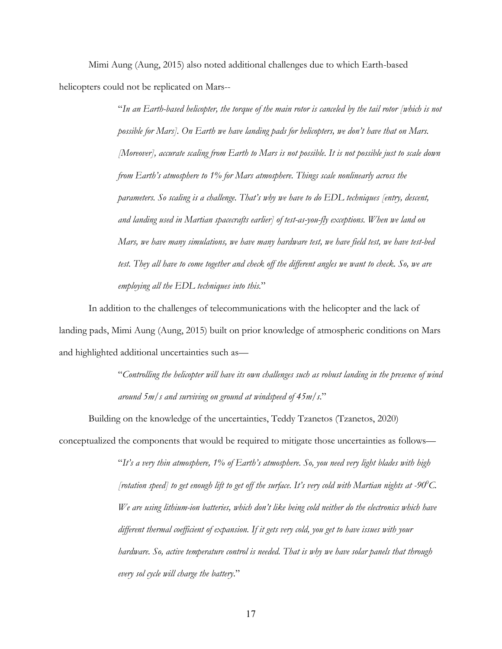Mimi Aung (Aung, 2015) also noted additional challenges due to which Earth-based helicopters could not be replicated on Mars--

> "*In an Earth-based helicopter, the torque of the main rotor is canceled by the tail rotor [which is not possible for Mars]. On Earth we have landing pads for helicopters, we don't have that on Mars. [Moreover], accurate scaling from Earth to Mars is not possible. It is not possible just to scale down from Earth's atmosphere to 1% for Mars atmosphere. Things scale nonlinearly across the parameters. So scaling is a challenge. That's why we have to do EDL techniques [entry, descent, and landing used in Martian spacecrafts earlier] of test-as-you-fly exceptions. When we land on Mars, we have many simulations, we have many hardware test, we have field test, we have test-bed test. They all have to come together and check off the different angles we want to check. So, we are employing all the EDL techniques into this.*"

In addition to the challenges of telecommunications with the helicopter and the lack of landing pads, Mimi Aung (Aung, 2015) built on prior knowledge of atmospheric conditions on Mars and highlighted additional uncertainties such as—

> "*Controlling the helicopter will have its own challenges such as robust landing in the presence of wind around 5m/s and surviving on ground at windspeed of 45m/s*."

Building on the knowledge of the uncertainties, Teddy Tzanetos (Tzanetos, 2020)

conceptualized the components that would be required to mitigate those uncertainties as follows—

"*It's a very thin atmosphere, 1% of Earth's atmosphere. So, you need very light blades with high [rotation speed] to get enough lift to get off the surface. It's very cold with Martian nights at -900 C. We are using lithium-ion batteries, which don't like being cold neither do the electronics which have different thermal coefficient of expansion. If it gets very cold, you get to have issues with your hardware. So, active temperature control is needed. That is why we have solar panels that through every sol cycle will charge the battery*."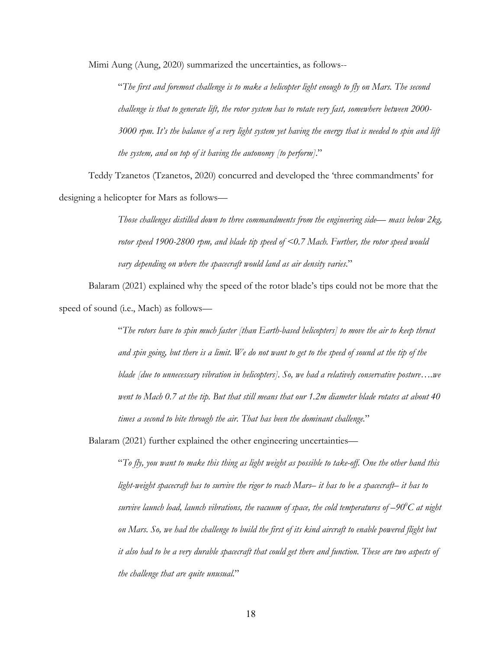Mimi Aung (Aung, 2020) summarized the uncertainties, as follows--

"*The first and foremost challenge is to make a helicopter light enough to fly on Mars. The second challenge is that to generate lift, the rotor system has to rotate very fast, somewhere between 2000- 3000 rpm. It's the balance of a very light system yet having the energy that is needed to spin and lift the system, and on top of it having the autonomy [to perform]*."

Teddy Tzanetos (Tzanetos, 2020) concurred and developed the 'three commandments' for designing a helicopter for Mars as follows—

> *Those challenges distilled down to three commandments from the engineering side— mass below 2kg, rotor speed 1900-2800 rpm, and blade tip speed of <0.7 Mach. Further, the rotor speed would vary depending on where the spacecraft would land as air density varies*."

Balaram (2021) explained why the speed of the rotor blade's tips could not be more that the speed of sound (i.e., Mach) as follows—

> "*The rotors have to spin much faster [than Earth-based helicopters] to move the air to keep thrust and spin going, but there is a limit. We do not want to get to the speed of sound at the tip of the blade [due to unnecessary vibration in helicopters]. So, we had a relatively conservative posture….we went to Mach 0.7 at the tip. But that still means that our 1.2m diameter blade rotates at about 40 times a second to bite through the air. That has been the dominant challenge.*"

Balaram (2021) further explained the other engineering uncertainties—

"*To fly, you want to make this thing as light weight as possible to take-off. One the other hand this light-weight spacecraft has to survive the rigor to reach Mars– it has to be a spacecraft– it has to survive launch load, launch vibrations, the vacuum of space, the cold temperatures of*  $-90^oC$  *at night on Mars. So, we had the challenge to build the first of its kind aircraft to enable powered flight but it also had to be a very durable spacecraft that could get there and function. These are two aspects of the challenge that are quite unusual.*"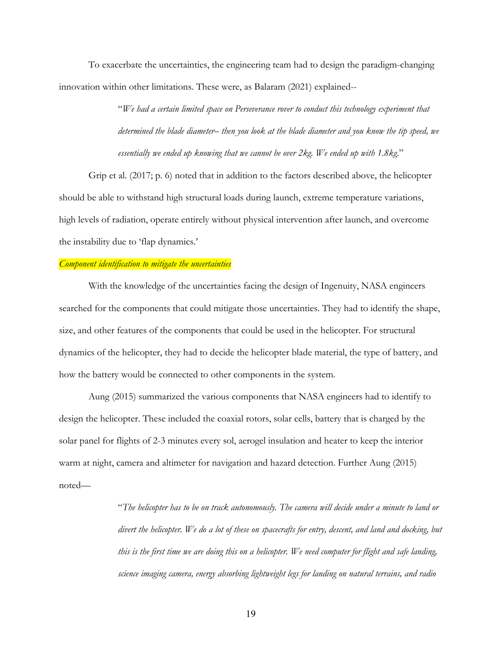To exacerbate the uncertainties, the engineering team had to design the paradigm-changing innovation within other limitations. These were, as Balaram (2021) explained--

> "*We had a certain limited space on Perseverance rover to conduct this technology experiment that determined the blade diameter– then you look at the blade diameter and you know the tip speed, we essentially we ended up knowing that we cannot be over 2kg. We ended up with 1.8kg*."

Grip et al. (2017; p. 6) noted that in addition to the factors described above, the helicopter should be able to withstand high structural loads during launch, extreme temperature variations, high levels of radiation, operate entirely without physical intervention after launch, and overcome the instability due to 'flap dynamics.'

#### *Component identification to mitigate the uncertainties*

With the knowledge of the uncertainties facing the design of Ingenuity, NASA engineers searched for the components that could mitigate those uncertainties. They had to identify the shape, size, and other features of the components that could be used in the helicopter. For structural dynamics of the helicopter, they had to decide the helicopter blade material, the type of battery, and how the battery would be connected to other components in the system.

Aung (2015) summarized the various components that NASA engineers had to identify to design the helicopter. These included the coaxial rotors, solar cells, battery that is charged by the solar panel for flights of 2-3 minutes every sol, aerogel insulation and heater to keep the interior warm at night, camera and altimeter for navigation and hazard detection. Further Aung (2015) noted—

> "*The helicopter has to be on track autonomously. The camera will decide under a minute to land or divert the helicopter. We do a lot of these on spacecrafts for entry, descent, and land and docking, but this is the first time we are doing this on a helicopter. We need computer for flight and safe landing, science imaging camera, energy absorbing lightweight legs for landing on natural terrains, and radio*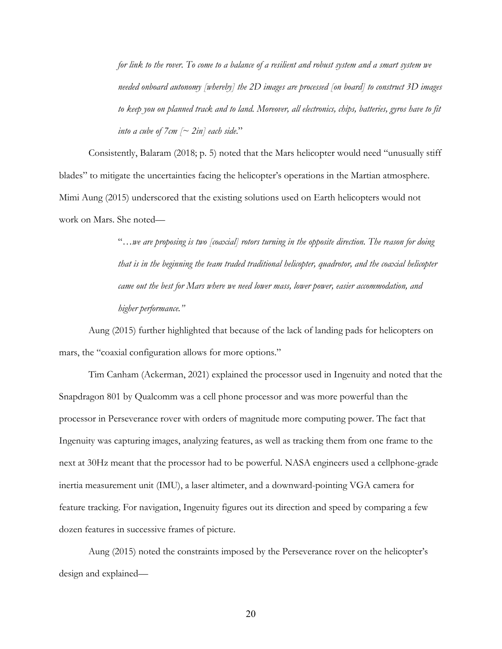*for link to the rover. To come to a balance of a resilient and robust system and a smart system we needed onboard autonomy [whereby] the 2D images are processed [on board] to construct 3D images to keep you on planned track and to land. Moreover, all electronics, chips, batteries, gyros have to fit into a cube of 7cm [~ 2in] each side*."

Consistently, Balaram (2018; p. 5) noted that the Mars helicopter would need "unusually stiff blades" to mitigate the uncertainties facing the helicopter's operations in the Martian atmosphere. Mimi Aung (2015) underscored that the existing solutions used on Earth helicopters would not work on Mars. She noted—

> "…*we are proposing is two [coaxial] rotors turning in the opposite direction. The reason for doing that is in the beginning the team traded traditional helicopter, quadrotor, and the coaxial helicopter came out the best for Mars where we need lower mass, lower power, easier accommodation, and higher performance."*

Aung (2015) further highlighted that because of the lack of landing pads for helicopters on mars, the "coaxial configuration allows for more options."

Tim Canham (Ackerman, 2021) explained the processor used in Ingenuity and noted that the Snapdragon 801 by Qualcomm was a cell phone processor and was more powerful than the processor in Perseverance rover with orders of magnitude more computing power. The fact that Ingenuity was capturing images, analyzing features, as well as tracking them from one frame to the next at 30Hz meant that the processor had to be powerful. NASA engineers used a cellphone-grade inertia measurement unit (IMU), a laser altimeter, and a downward-pointing VGA camera for feature tracking. For navigation, Ingenuity figures out its direction and speed by comparing a few dozen features in successive frames of picture.

Aung (2015) noted the constraints imposed by the Perseverance rover on the helicopter's design and explained—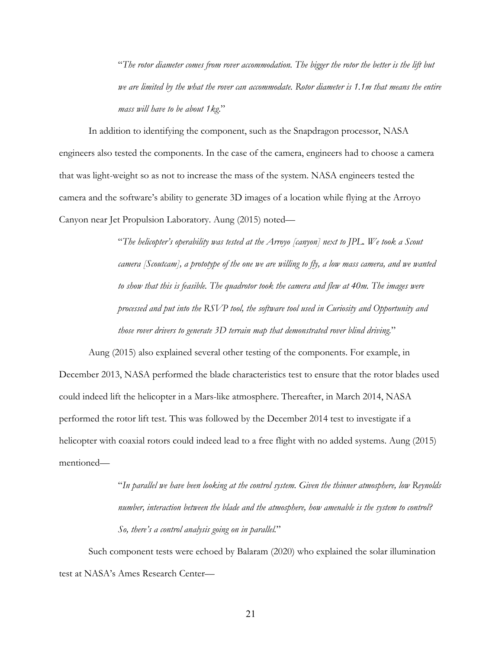"*The rotor diameter comes from rover accommodation. The bigger the rotor the better is the lift but we are limited by the what the rover can accommodate. Rotor diameter is 1.1m that means the entire mass will have to be about 1kg*."

In addition to identifying the component, such as the Snapdragon processor, NASA engineers also tested the components. In the case of the camera, engineers had to choose a camera that was light-weight so as not to increase the mass of the system. NASA engineers tested the camera and the software's ability to generate 3D images of a location while flying at the Arroyo Canyon near Jet Propulsion Laboratory. Aung (2015) noted—

> "*The helicopter's operability was tested at the Arroyo [canyon] next to JPL. We took a Scout camera [Scoutcam], a prototype of the one we are willing to fly, a low mass camera, and we wanted to show that this is feasible. The quadrotor took the camera and flew at 40m. The images were processed and put into the RSVP tool, the software tool used in Curiosity and Opportunity and those rover drivers to generate 3D terrain map that demonstrated rover blind driving.*"

Aung (2015) also explained several other testing of the components. For example, in December 2013, NASA performed the blade characteristics test to ensure that the rotor blades used could indeed lift the helicopter in a Mars-like atmosphere. Thereafter, in March 2014, NASA performed the rotor lift test. This was followed by the December 2014 test to investigate if a helicopter with coaxial rotors could indeed lead to a free flight with no added systems. Aung (2015) mentioned—

> "*In parallel we have been looking at the control system. Given the thinner atmosphere, low Reynolds number, interaction between the blade and the atmosphere, how amenable is the system to control? So, there's a control analysis going on in parallel.*"

Such component tests were echoed by Balaram (2020) who explained the solar illumination test at NASA's Ames Research Center—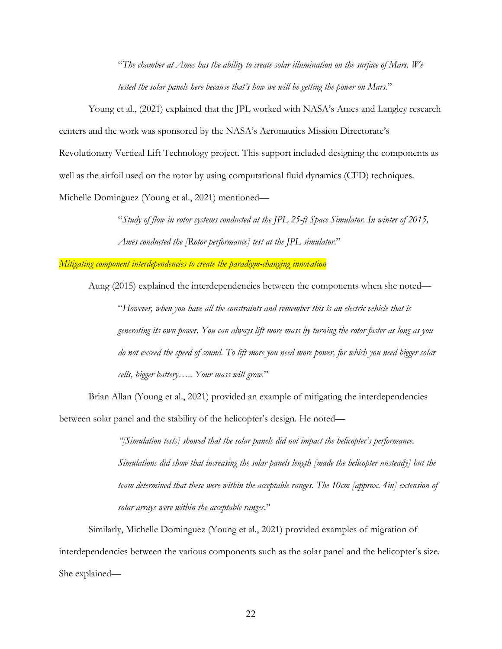"*The chamber at Ames has the ability to create solar illumination on the surface of Mars. We tested the solar panels here because that's how we will be getting the power on Mars.*"

Young et al., (2021) explained that the JPL worked with NASA's Ames and Langley research centers and the work was sponsored by the NASA's Aeronautics Mission Directorate's Revolutionary Vertical Lift Technology project. This support included designing the components as well as the airfoil used on the rotor by using computational fluid dynamics (CFD) techniques. Michelle Dominguez (Young et al., 2021) mentioned—

> "*Study of flow in rotor systems conducted at the JPL 25-ft Space Simulator. In winter of 2015, Ames conducted the [Rotor performance] test at the JPL simulator*."

*Mitigating component interdependencies to create the paradigm-changing innovation*

Aung (2015) explained the interdependencies between the components when she noted— "*However, when you have all the constraints and remember this is an electric vehicle that is generating its own power. You can always lift more mass by turning the rotor faster as long as you do not exceed the speed of sound. To lift more you need more power, for which you need bigger solar cells, bigger battery….. Your mass will grow*."

Brian Allan (Young et al., 2021) provided an example of mitigating the interdependencies between solar panel and the stability of the helicopter's design. He noted—

> *"[Simulation tests] showed that the solar panels did not impact the helicopter's performance. Simulations did show that increasing the solar panels length [made the helicopter unsteady] but the team determined that these were within the acceptable ranges. The 10cm [approx. 4in] extension of solar arrays were within the acceptable ranges*."

Similarly, Michelle Dominguez (Young et al., 2021) provided examples of migration of interdependencies between the various components such as the solar panel and the helicopter's size. She explained—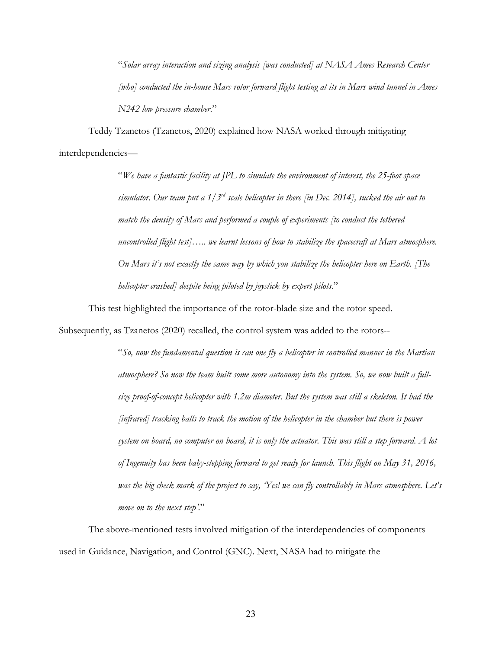"*Solar array interaction and sizing analysis [was conducted] at NASA Ames Research Center [who] conducted the in-house Mars rotor forward flight testing at its in Mars wind tunnel in Ames N242 low pressure chamber*."

Teddy Tzanetos (Tzanetos, 2020) explained how NASA worked through mitigating interdependencies—

> "*We have a fantastic facility at JPL to simulate the environment of interest, the 25-foot space simulator. Our team put a 1/3rd scale helicopter in there [in Dec. 2014], sucked the air out to match the density of Mars and performed a couple of experiments [to conduct the tethered uncontrolled flight test]….. we learnt lessons of how to stabilize the spacecraft at Mars atmosphere. On Mars it's not exactly the same way by which you stabilize the helicopter here on Earth. [The helicopter crashed] despite being piloted by joystick by expert pilots*."

This test highlighted the importance of the rotor-blade size and the rotor speed.

Subsequently, as Tzanetos (2020) recalled, the control system was added to the rotors--

"*So, now the fundamental question is can one fly a helicopter in controlled manner in the Martian atmosphere? So now the team built some more autonomy into the system. So, we now built a fullsize proof-of-concept helicopter with 1.2m diameter. But the system was still a skeleton. It had the [infrared] tracking balls to track the motion of the helicopter in the chamber but there is power system on board, no computer on board, it is only the actuator. This was still a step forward. A lot of Ingenuity has been baby-stepping forward to get ready for launch. This flight on May 31, 2016, was the big check mark of the project to say, 'Yes! we can fly controllably in Mars atmosphere. Let's move on to the next step'*."

The above-mentioned tests involved mitigation of the interdependencies of components used in Guidance, Navigation, and Control (GNC). Next, NASA had to mitigate the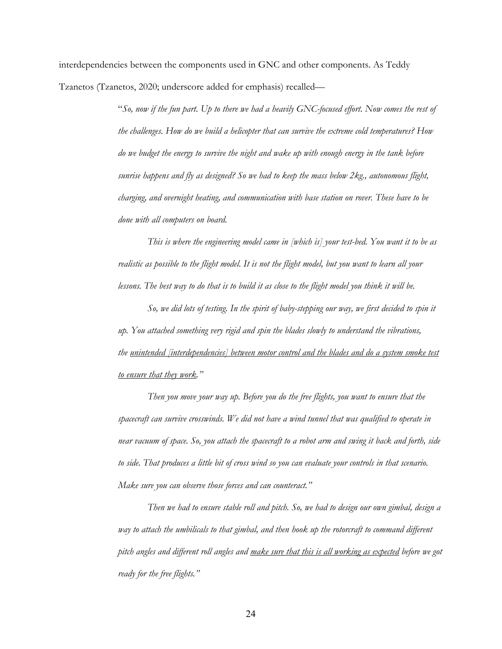interdependencies between the components used in GNC and other components. As Teddy Tzanetos (Tzanetos, 2020; underscore added for emphasis) recalled—

> "*So, now if the fun part. Up to there we had a heavily GNC-focused effort. Now comes the rest of the challenges. How do we build a helicopter that can survive the extreme cold temperatures? How do we budget the energy to survive the night and wake up with enough energy in the tank before sunrise happens and fly as designed? So we had to keep the mass below 2kg., autonomous flight, charging, and overnight heating, and communication with base station on rover. These have to be done with all computers on board.*

> *This is where the engineering model came in [which is] your test-bed. You want it to be as realistic as possible to the flight model. It is not the flight model, but you want to learn all your lessons. The best way to do that is to build it as close to the flight model you think it will be.*

> *So, we did lots of testing. In the spirit of baby-stepping our way, we first decided to spin it up. You attached something very rigid and spin the blades slowly to understand the vibrations, the unintended [interdependencies] between motor control and the blades and do a system smoke test to ensure that they work."*

> *Then you move your way up. Before you do the free flights, you want to ensure that the spacecraft can survive crosswinds. We did not have a wind tunnel that was qualified to operate in near vacuum of space. So, you attach the spacecraft to a robot arm and swing it back and forth, side to side. That produces a little bit of cross wind so you can evaluate your controls in that scenario. Make sure you can observe those forces and can counteract."*

> *Then we had to ensure stable roll and pitch. So, we had to design our own gimbal, design a way to attach the umbilicals to that gimbal, and then hook up the rotorcraft to command different pitch angles and different roll angles and make sure that this is all working as expected before we got ready for the free flights."*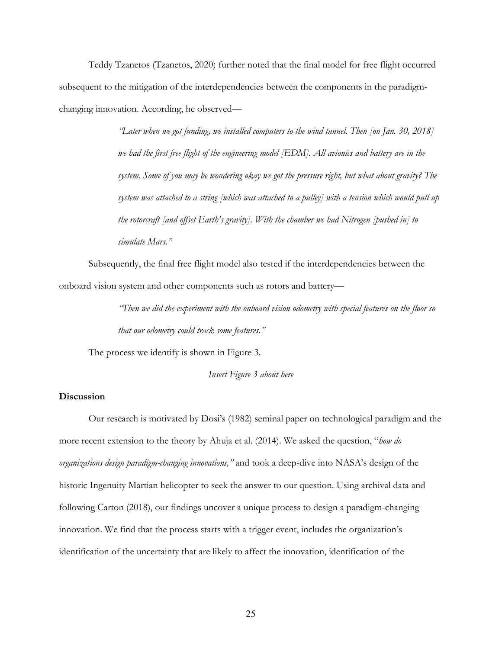Teddy Tzanetos (Tzanetos, 2020) further noted that the final model for free flight occurred subsequent to the mitigation of the interdependencies between the components in the paradigmchanging innovation. According, he observed—

> *"Later when we got funding, we installed computers to the wind tunnel. Then [on Jan. 30, 2018] we had the first free flight of the engineering model [EDM]. All avionics and battery are in the system. Some of you may be wondering okay we got the pressure right, but what about gravity? The system was attached to a string [which was attached to a pulley] with a tension which would pull up the rotorcraft [and offset Earth's gravity]. With the chamber we had Nitrogen [pushed in] to simulate Mars."*

Subsequently, the final free flight model also tested if the interdependencies between the onboard vision system and other components such as rotors and battery*—*

> *"Then we did the experiment with the onboard vision odometry with special features on the floor so that our odometry could track some features."*

The process we identify is shown in Figure 3.

*Insert Figure 3 about here*

## **Discussion**

Our research is motivated by Dosi's (1982) seminal paper on technological paradigm and the more recent extension to the theory by Ahuja et al. (2014). We asked the question, "*how do organizations design paradigm-changing innovations,"* and took a deep-dive into NASA's design of the historic Ingenuity Martian helicopter to seek the answer to our question. Using archival data and following Carton (2018), our findings uncover a unique process to design a paradigm-changing innovation. We find that the process starts with a trigger event, includes the organization's identification of the uncertainty that are likely to affect the innovation, identification of the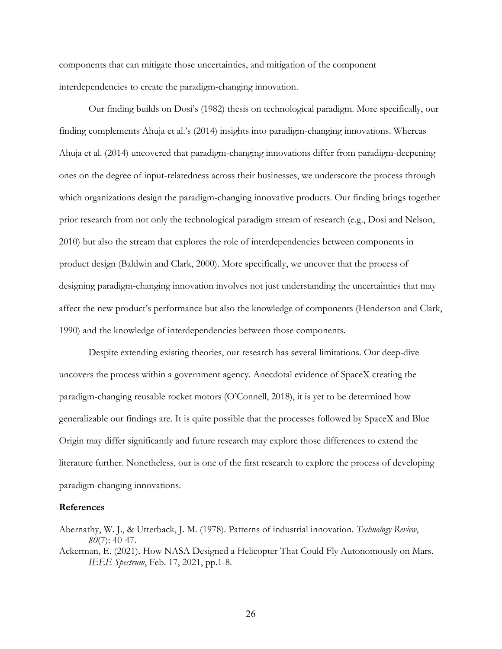components that can mitigate those uncertainties, and mitigation of the component interdependencies to create the paradigm-changing innovation.

Our finding builds on Dosi's (1982) thesis on technological paradigm. More specifically, our finding complements Ahuja et al.'s (2014) insights into paradigm-changing innovations. Whereas Ahuja et al. (2014) uncovered that paradigm-changing innovations differ from paradigm-deepening ones on the degree of input-relatedness across their businesses, we underscore the process through which organizations design the paradigm-changing innovative products. Our finding brings together prior research from not only the technological paradigm stream of research (e.g., Dosi and Nelson, 2010) but also the stream that explores the role of interdependencies between components in product design (Baldwin and Clark, 2000). More specifically, we uncover that the process of designing paradigm-changing innovation involves not just understanding the uncertainties that may affect the new product's performance but also the knowledge of components (Henderson and Clark, 1990) and the knowledge of interdependencies between those components.

Despite extending existing theories, our research has several limitations. Our deep-dive uncovers the process within a government agency. Anecdotal evidence of SpaceX creating the paradigm-changing reusable rocket motors (O'Connell, 2018), it is yet to be determined how generalizable our findings are. It is quite possible that the processes followed by SpaceX and Blue Origin may differ significantly and future research may explore those differences to extend the literature further. Nonetheless, our is one of the first research to explore the process of developing paradigm-changing innovations.

#### **References**

- Abernathy, W. J., & Utterback, J. M. (1978). Patterns of industrial innovation. *Technology Review*, *80*(7): 40-47.
- Ackerman, E. (2021). How NASA Designed a Helicopter That Could Fly Autonomously on Mars. *IEEE Spectrum*, Feb. 17, 2021, pp.1-8.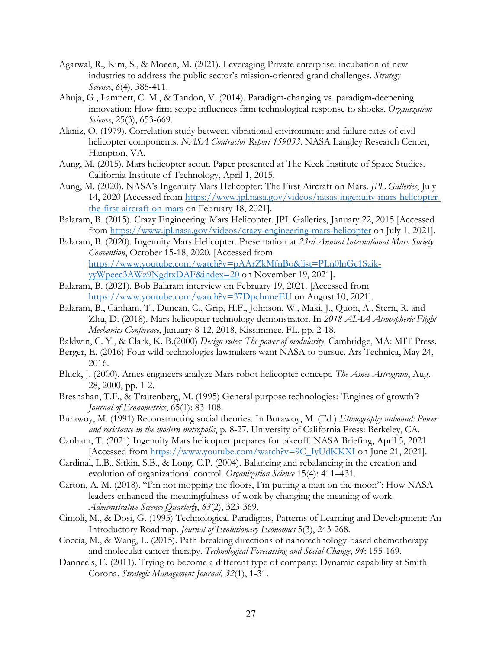- Agarwal, R., Kim, S., & Moeen, M. (2021). Leveraging Private enterprise: incubation of new industries to address the public sector's mission-oriented grand challenges. *Strategy Science*, *6*(4), 385-411.
- Ahuja, G., Lampert, C. M., & Tandon, V. (2014). Paradigm-changing vs. paradigm-deepening innovation: How firm scope influences firm technological response to shocks. *Organization Science*, 25(3), 653-669.
- Alaniz, O. (1979). Correlation study between vibrational environment and failure rates of civil helicopter components. *NASA Contractor Report 159033*. NASA Langley Research Center, Hampton, VA.
- Aung, M. (2015). Mars helicopter scout. Paper presented at The Keck Institute of Space Studies. California Institute of Technology, April 1, 2015.
- Aung, M. (2020). NASA's Ingenuity Mars Helicopter: The First Aircraft on Mars. *JPL Galleries*, July 14, 2020 [Accessed from https://www.jpl.nasa.gov/videos/nasas-ingenuity-mars-helicopterthe-first-aircraft-on-mars on February 18, 2021].
- Balaram, B. (2015). Crazy Engineering: Mars Helicopter. JPL Galleries, January 22, 2015 [Accessed from https://www.jpl.nasa.gov/videos/crazy-engineering-mars-helicopter on July 1, 2021].
- Balaram, B. (2020). Ingenuity Mars Helicopter. Presentation at *23rd Annual International Mars Society Convention*, October 15-18, 2020. [Accessed from https://www.youtube.com/watch?v=pAArZkMfnBo&list=PLn0lnGc1SaikyyWpeec3AWz9NgdtxDAF&index=20 on November 19, 2021].
- Balaram, B. (2021). Bob Balaram interview on February 19, 2021. [Accessed from https://www.youtube.com/watch?v=37DpchnneEU on August 10, 2021].
- Balaram, B., Canham, T., Duncan, C., Grip, H.F., Johnson, W., Maki, J., Quon, A., Stern, R. and Zhu, D. (2018). Mars helicopter technology demonstrator. In *2018 AIAA Atmospheric Flight Mechanics Conference*, January 8-12, 2018, Kissimmee, FL, pp. 2-18.
- Baldwin, C. Y., & Clark, K. B.(2000) *Design rules: The power of modularity*. Cambridge, MA: MIT Press.
- Berger, E. (2016) Four wild technologies lawmakers want NASA to pursue. Ars Technica, May 24, 2016.
- Bluck, J. (2000). Ames engineers analyze Mars robot helicopter concept. *The Ames Astrogram*, Aug. 28, 2000, pp. 1-2.
- Bresnahan, T.F., & Trajtenberg, M. (1995) General purpose technologies: 'Engines of growth'? *Journal of Econometrics*, 65(1): 83-108.
- Burawoy, M. (1991) Reconstructing social theories. In Burawoy, M. (Ed.) *Ethnography unbound: Power and resistance in the modern metropolis*, p. 8-27. University of California Press: Berkeley, CA.
- Canham, T. (2021) Ingenuity Mars helicopter prepares for takeoff. NASA Briefing, April 5, 2021 [Accessed from https://www.youtube.com/watch?v=9C\_IyUdKKXI on June 21, 2021].
- Cardinal, L.B., Sitkin, S.B., & Long, C.P. (2004). Balancing and rebalancing in the creation and evolution of organizational control. *Organization Science* 15(4): 411–431.
- Carton, A. M. (2018). "I'm not mopping the floors, I'm putting a man on the moon": How NASA leaders enhanced the meaningfulness of work by changing the meaning of work. *Administrative Science Quarterly*, *63*(2), 323-369.
- Cimoli, M., & Dosi, G. (1995) Technological Paradigms, Patterns of Learning and Development: An Introductory Roadmap. *Journal of Evolutionary Economics* 5(3), 243-268.
- Coccia, M., & Wang, L. (2015). Path-breaking directions of nanotechnology-based chemotherapy and molecular cancer therapy. *Technological Forecasting and Social Change*, *94*: 155-169.
- Danneels, E. (2011). Trying to become a different type of company: Dynamic capability at Smith Corona. *Strategic Management Journal*, *32*(1), 1-31.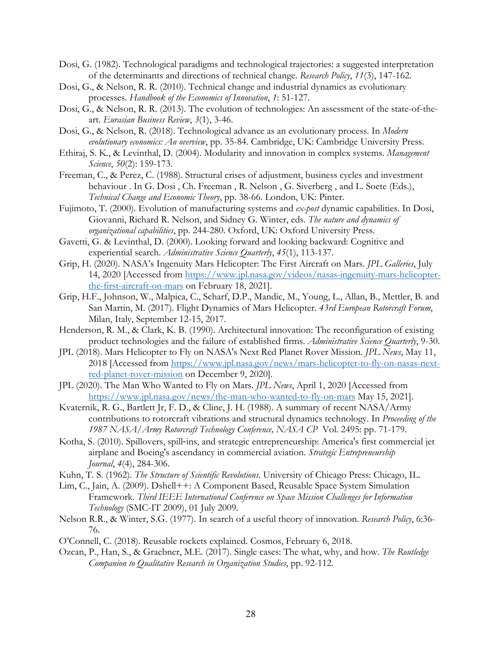- Dosi, G. (1982). Technological paradigms and technological trajectories: a suggested interpretation of the determinants and directions of technical change. *Research Policy*, *11*(3), 147-162.
- Dosi, G., & Nelson, R. R. (2010). Technical change and industrial dynamics as evolutionary processes. *Handbook of the Economics of Innovation*, *1*: 51-127.
- Dosi, G., & Nelson, R. R. (2013). The evolution of technologies: An assessment of the state-of-theart. *Eurasian Business Review*, *3*(1), 3-46.
- Dosi, G., & Nelson, R. (2018). Technological advance as an evolutionary process. In *Modern evolutionary economics: An overview*, pp. 35-84. Cambridge, UK: Cambridge University Press.
- Ethiraj, S. K., & Levinthal, D. (2004). Modularity and innovation in complex systems. *Management Science*, *50*(2): 159-173.
- Freeman, C., & Perez, C. (1988). Structural crises of adjustment, business cycles and investment behaviour . In G. Dosi , Ch. Freeman , R. Nelson , G. Siverberg , and L. Soete (Eds.), *Technical Change and Economic Theory*, pp. 38-66. London, UK: Pinter.
- Fujimoto, T. (2000). Evolution of manufacturing systems and *ex-post* dynamic capabilities. In Dosi, Giovanni, Richard R. Nelson, and Sidney G. Winter, eds. *The nature and dynamics of organizational capabilities*, pp. 244-280. Oxford, UK: Oxford University Press.
- Gavetti, G. & Levinthal, D. (2000). Looking forward and looking backward: Cognitive and experiential search. *Administrative Science Quarterly*, *45*(1), 113-137.
- Grip, H. (2020). NASA's Ingenuity Mars Helicopter: The First Aircraft on Mars. *JPL Galleries*, July 14, 2020 [Accessed from https://www.jpl.nasa.gov/videos/nasas-ingenuity-mars-helicopterthe-first-aircraft-on-mars on February 18, 2021].
- Grip, H.F., Johnson, W., Malpica, C., Scharf, D.P., Mandic, M., Young, L., Allan, B., Mettler, B. and San Martin, M. (2017). Flight Dynamics of Mars Helicopter. *43rd European Rotorcraft Forum*, Milan, Italy, September 12-15, 2017.
- Henderson, R. M., & Clark, K. B. (1990). Architectural innovation: The reconfiguration of existing product technologies and the failure of established firms. *Administrative Science Quarterly*, 9-30.
- JPL (2018). Mars Helicopter to Fly on NASA's Next Red Planet Rover Mission. *JPL News*, May 11, 2018 [Accessed from https://www.jpl.nasa.gov/news/mars-helicopter-to-fly-on-nasas-nextred-planet-rover-mission on December 9, 2020].
- JPL (2020). The Man Who Wanted to Fly on Mars. *JPL News*, April 1, 2020 [Accessed from https://www.jpl.nasa.gov/news/the-man-who-wanted-to-fly-on-mars May 15, 2021].
- Kvaternik, R. G., Bartlett Jr, F. D., & Cline, J. H. (1988). A summary of recent NASA/Army contributions to rotorcraft vibrations and structural dynamics technology. In *Proceeding of the 1987 NASA/Army Rotorcraft Technology Conference, NASA CP* Vol. 2495: pp. 71-179.
- Kotha, S. (2010). Spillovers, spill-ins, and strategic entrepreneurship: America's first commercial jet airplane and Boeing's ascendancy in commercial aviation. *Strategic Entrepreneurship Journal*, *4*(4), 284-306.
- Kuhn, T. S. (1962). *The Structure of Scientific Revolutions*. University of Chicago Press: Chicago, IL.
- Lim, C., Jain, A. (2009). Dshell++: A Component Based, Reusable Space System Simulation Framework. *Third IEEE International Conference on Space Mission Challenges for Information Technology* (SMC-IT 2009), 01 July 2009.
- Nelson R.R., & Winter, S.G. (1977). In search of a useful theory of innovation. *Research Policy*, 6:36- 76.
- O'Connell, C. (2018). Reusable rockets explained. Cosmos, February 6, 2018.
- Ozcan, P., Han, S., & Graebner, M.E. (2017). Single cases: The what, why, and how. *The Routledge Companion to Qualitative Research in Organization Studies*, pp. 92-112.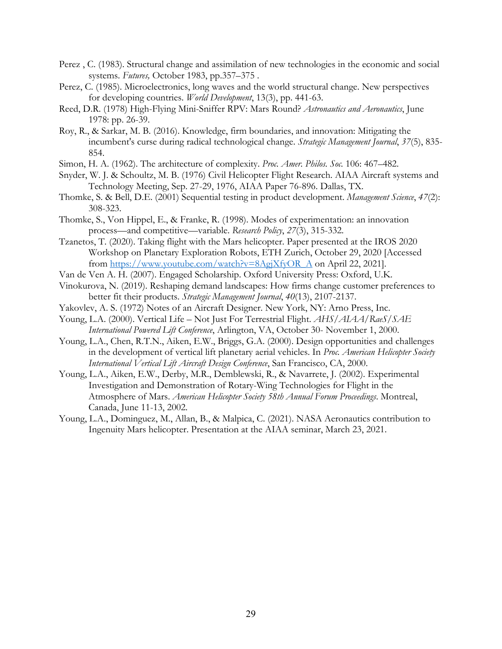- Perez , C. (1983). Structural change and assimilation of new technologies in the economic and social systems. *Futures,* October 1983, pp.357–375 .
- Perez, C. (1985). Microelectronics, long waves and the world structural change. New perspectives for developing countries. *World Development*, 13(3), pp. 441-63.
- Reed, D.R. (1978) High-Flying Mini-Sniffer RPV: Mars Round? *Astronautics and Aeronautics*, June 1978: pp. 26-39.
- Roy, R., & Sarkar, M. B. (2016). Knowledge, firm boundaries, and innovation: Mitigating the incumbent's curse during radical technological change. *Strategic Management Journal*, *37*(5), 835- 854.
- Simon, H. A. (1962). The architecture of complexity. *Proc. Amer. Philos. Soc.* 106: 467–482.
- Snyder, W. J. & Schoultz, M. B. (1976) Civil Helicopter Flight Research. AIAA Aircraft systems and Technology Meeting, Sep. 27-29, 1976, AIAA Paper 76-896. Dallas, TX.
- Thomke, S. & Bell, D.E. (2001) Sequential testing in product development. *Management Science*, *47*(2): 308-323.
- Thomke, S., Von Hippel, E., & Franke, R. (1998). Modes of experimentation: an innovation process—and competitive—variable. *Research Policy*, *27*(3), 315-332.
- Tzanetos, T. (2020). Taking flight with the Mars helicopter. Paper presented at the IROS 2020 Workshop on Planetary Exploration Robots, ETH Zurich, October 29, 2020 [Accessed from https://www.youtube.com/watch?v=8AgjXfyOR\_A on April 22, 2021].
- Van de Ven A. H. (2007). Engaged Scholarship. Oxford University Press: Oxford, U.K.
- Vinokurova, N. (2019). Reshaping demand landscapes: How firms change customer preferences to better fit their products. *Strategic Management Journal*, *40*(13), 2107-2137.
- Yakovlev, A. S. (1972) Notes of an Aircraft Designer. New York, NY: Arno Press, Inc.
- Young, L.A. (2000). Vertical Life Not Just For Terrestrial Flight. *AHS/AIAA/RaeS/SAE International Powered Lift Conference*, Arlington, VA, October 30- November 1, 2000.
- Young, L.A., Chen, R.T.N., Aiken, E.W., Briggs, G.A. (2000). Design opportunities and challenges in the development of vertical lift planetary aerial vehicles. In *Proc. American Helicopter Society International Vertical Lift Aircraft Design Conference*, San Francisco, CA, 2000.
- Young, L.A., Aiken, E.W., Derby, M.R., Demblewski, R., & Navarrete, J. (2002). Experimental Investigation and Demonstration of Rotary-Wing Technologies for Flight in the Atmosphere of Mars. *American Helicopter Society 58th Annual Forum Proceedings*. Montreal, Canada, June 11-13, 2002.
- Young, L.A., Dominguez, M., Allan, B., & Malpica, C. (2021). NASA Aeronautics contribution to Ingenuity Mars helicopter. Presentation at the AIAA seminar, March 23, 2021.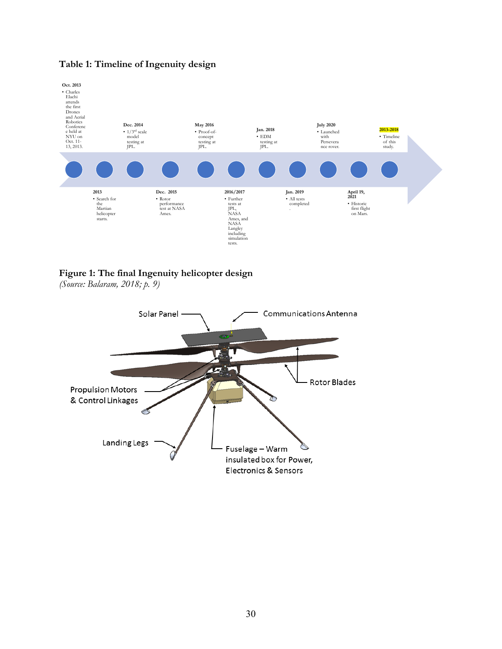

# **Table 1: Timeline of Ingenuity design**

**Figure 1: The final Ingenuity helicopter design** 

*(Source: Balaram, 2018; p. 9)*